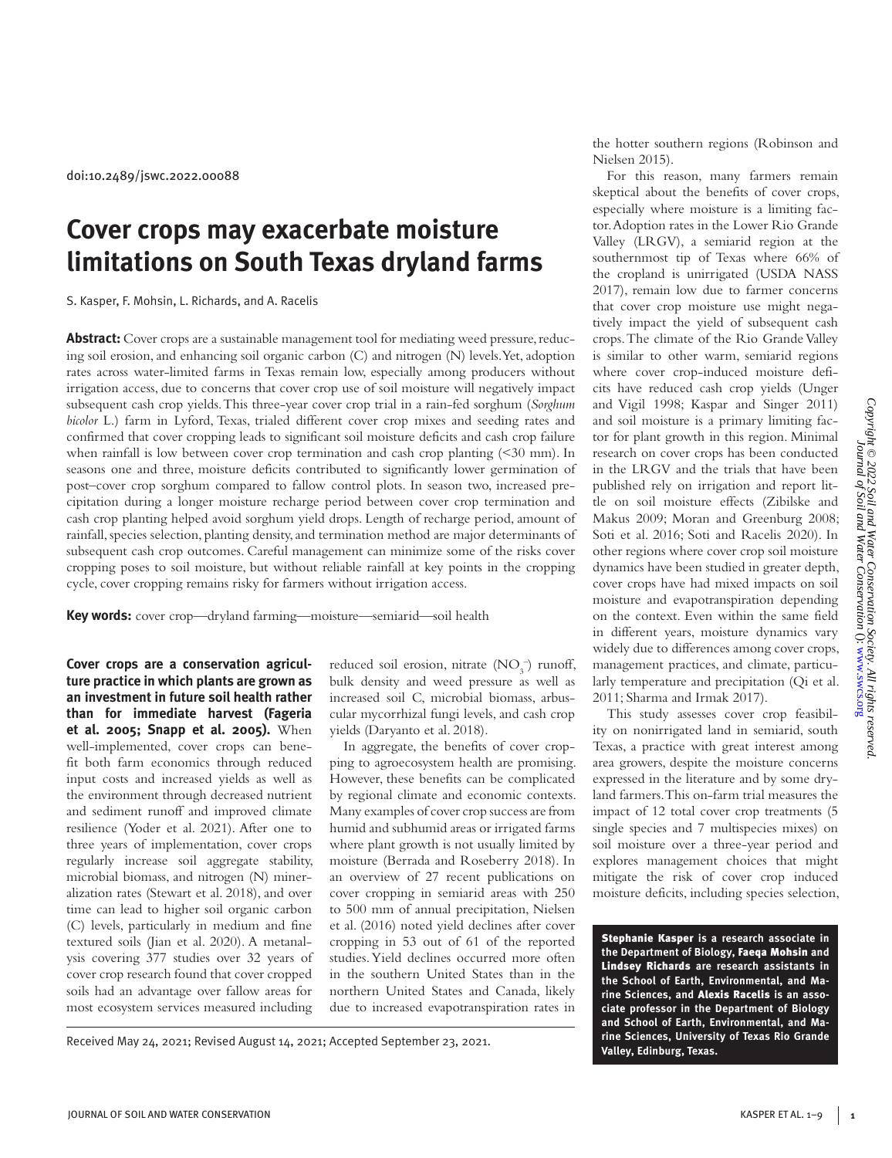doi:10.2489/jswc.2022.00088

# **Cover crops may exacerbate moisture limitations on South Texas dryland farms**

S. Kasper, F. Mohsin, L. Richards, and A. Racelis

**Abstract:** Cover crops are a sustainable management tool for mediating weed pressure, reducing soil erosion, and enhancing soil organic carbon (C) and nitrogen (N) levels. Yet, adoption rates across water-limited farms in Texas remain low, especially among producers without irrigation access, due to concerns that cover crop use of soil moisture will negatively impact subsequent cash crop yields. This three-year cover crop trial in a rain-fed sorghum (*Sorghum bicolor* L.) farm in Lyford, Texas, trialed different cover crop mixes and seeding rates and confirmed that cover cropping leads to significant soil moisture deficits and cash crop failure when rainfall is low between cover crop termination and cash crop planting (<30 mm). In seasons one and three, moisture deficits contributed to significantly lower germination of post–cover crop sorghum compared to fallow control plots. In season two, increased precipitation during a longer moisture recharge period between cover crop termination and cash crop planting helped avoid sorghum yield drops. Length of recharge period, amount of rainfall, species selection, planting density, and termination method are major determinants of subsequent cash crop outcomes. Careful management can minimize some of the risks cover cropping poses to soil moisture, but without reliable rainfall at key points in the cropping cycle, cover cropping remains risky for farmers without irrigation access.

**Key words:** cover crop—dryland farming—moisture—semiarid—soil health

**Cover crops are a conservation agriculture practice in which plants are grown as an investment in future soil health rather than for immediate harvest (Fageria et al. 2005; Snapp et al. 2005).** When well-implemented, cover crops can benefit both farm economics through reduced input costs and increased yields as well as the environment through decreased nutrient and sediment runoff and improved climate resilience (Yoder et al. 2021). After one to three years of implementation, cover crops regularly increase soil aggregate stability, microbial biomass, and nitrogen (N) mineralization rates (Stewart et al. 2018), and over time can lead to higher soil organic carbon (C) levels, particularly in medium and fine textured soils (Jian et al. 2020). A metanalysis covering 377 studies over 32 years of cover crop research found that cover cropped soils had an advantage over fallow areas for most ecosystem services measured including

reduced soil erosion, nitrate  $(NO<sub>3</sub><sup>-</sup>)$  runoff, bulk density and weed pressure as well as increased soil C, microbial biomass, arbuscular mycorrhizal fungi levels, and cash crop yields (Daryanto et al. 2018).

In aggregate, the benefits of cover cropping to agroecosystem health are promising. However, these benefits can be complicated by regional climate and economic contexts. Many examples of cover crop success are from humid and subhumid areas or irrigated farms where plant growth is not usually limited by moisture (Berrada and Roseberry 2018). In an overview of 27 recent publications on cover cropping in semiarid areas with 250 to 500 mm of annual precipitation, Nielsen et al. (2016) noted yield declines after cover cropping in 53 out of 61 of the reported studies. Yield declines occurred more often in the southern United States than in the northern United States and Canada, likely due to increased evapotranspiration rates in

Received May 24, 2021; Revised August 14, 2021; Accepted September 23, 2021.

the hotter southern regions (Robinson and Nielsen 2015).

For this reason, many farmers remain skeptical about the benefits of cover crops, especially where moisture is a limiting factor. Adoption rates in the Lower Rio Grande Valley (LRGV), a semiarid region at the southernmost tip of Texas where 66% of the cropland is unirrigated (USDA NASS 2017), remain low due to farmer concerns that cover crop moisture use might negatively impact the yield of subsequent cash crops. The climate of the Rio Grande Valley is similar to other warm, semiarid regions where cover crop-induced moisture deficits have reduced cash crop yields (Unger and Vigil 1998; Kaspar and Singer 2011) and soil moisture is a primary limiting factor for plant growth in this region. Minimal research on cover crops has been conducted in the LRGV and the trials that have been published rely on irrigation and report little on soil moisture effects (Zibilske and Makus 2009; Moran and Greenburg 2008; Soti et al. 2016; Soti and Racelis 2020). In other regions where cover crop soil moisture dynamics have been studied in greater depth, cover crops have had mixed impacts on soil moisture and evapotranspiration depending on the context. Even within the same field in different years, moisture dynamics vary widely due to differences among cover crops, management practices, and climate, particularly temperature and precipitation (Qi et al. 2011; Sharma and Irmak 2017).

This study assesses cover crop feasibility on nonirrigated land in semiarid, south Texas, a practice with great interest among area growers, despite the moisture concerns expressed in the literature and by some dryland farmers. This on-farm trial measures the impact of 12 total cover crop treatments (5 single species and 7 multispecies mixes) on soil moisture over a three-year period and explores management choices that might mitigate the risk of cover crop induced moisture deficits, including species selection,

Stephanie Kasper **is a research associate in the Department of Biology,** Faeqa Mohsin **and**  Lindsey Richards **are research assistants in the School of Earth, Environmental, and Marine Sciences, and** Alexis Racelis **is an associate professor in the Department of Biology and School of Earth, Environmental, and Marine Sciences, University of Texas Rio Grande Valley, Edinburg, Texas.**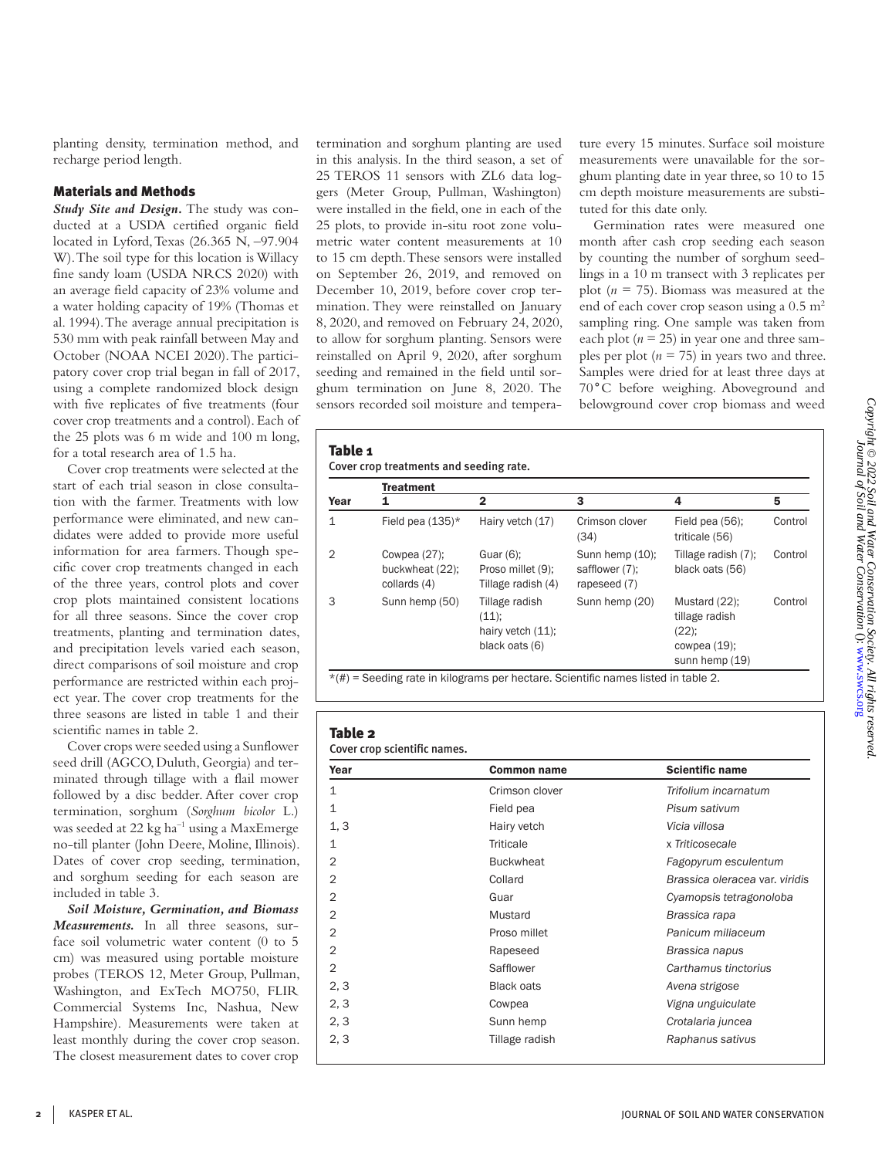planting density, termination method, and recharge period length.

# Materials and Methods

*Study Site and Design.* The study was conducted at a USDA certified organic field located in Lyford, Texas (26.365 N, –97.904 W). The soil type for this location is Willacy fine sandy loam (USDA NRCS 2020) with an average field capacity of 23% volume and a water holding capacity of 19% (Thomas et al. 1994). The average annual precipitation is 530 mm with peak rainfall between May and October (NOAA NCEI 2020). The participatory cover crop trial began in fall of 2017, using a complete randomized block design with five replicates of five treatments (four cover crop treatments and a control). Each of the 25 plots was 6 m wide and 100 m long, for a total research area of 1.5 ha.

Cover crop treatments were selected at the start of each trial season in close consultation with the farmer. Treatments with low performance were eliminated, and new candidates were added to provide more useful information for area farmers. Though specific cover crop treatments changed in each of the three years, control plots and cover crop plots maintained consistent locations for all three seasons. Since the cover crop treatments, planting and termination dates, and precipitation levels varied each season, direct comparisons of soil moisture and crop performance are restricted within each project year. The cover crop treatments for the three seasons are listed in table 1 and their scientific names in table 2.

Cover crops were seeded using a Sunflower seed drill (AGCO, Duluth, Georgia) and terminated through tillage with a flail mower followed by a disc bedder. After cover crop termination, sorghum (*Sorghum bicolor* L.) was seeded at  $22 \text{ kg ha}^{-1}$  using a MaxEmerge no-till planter (John Deere, Moline, Illinois). Dates of cover crop seeding, termination, and sorghum seeding for each season are included in table 3.

*Soil Moisture, Germination, and Biomass Measurements.* In all three seasons, surface soil volumetric water content (0 to 5 cm) was measured using portable moisture probes (TEROS 12, Meter Group, Pullman, Washington, and ExTech MO750, FLIR Commercial Systems Inc, Nashua, New Hampshire). Measurements were taken at least monthly during the cover crop season. The closest measurement dates to cover crop

termination and sorghum planting are used in this analysis. In the third season, a set of 25 TEROS 11 sensors with ZL6 data loggers (Meter Group, Pullman, Washington) were installed in the field, one in each of the 25 plots, to provide in-situ root zone volumetric water content measurements at 10 to 15 cm depth. These sensors were installed on September 26, 2019, and removed on December 10, 2019, before cover crop termination. They were reinstalled on January 8, 2020, and removed on February 24, 2020, to allow for sorghum planting. Sensors were reinstalled on April 9, 2020, after sorghum seeding and remained in the field until sorghum termination on June 8, 2020. The sensors recorded soil moisture and temperature every 15 minutes. Surface soil moisture measurements were unavailable for the sorghum planting date in year three, so 10 to 15 cm depth moisture measurements are substituted for this date only.

Germination rates were measured one month after cash crop seeding each season by counting the number of sorghum seedlings in a 10 m transect with 3 replicates per plot (*n* = 75). Biomass was measured at the end of each cover crop season using a  $0.5 \text{ m}^2$ sampling ring. One sample was taken from each plot ( $n = 25$ ) in year one and three samples per plot  $(n = 75)$  in years two and three. Samples were dried for at least three days at 70°C before weighing. Aboveground and belowground cover crop biomass and weed

## Table 1

Cover crop treatments and seeding rate.

|                | <b>Treatment</b>                                   |                                                                |                                                   |                                                                                  |         |  |  |
|----------------|----------------------------------------------------|----------------------------------------------------------------|---------------------------------------------------|----------------------------------------------------------------------------------|---------|--|--|
| Year           |                                                    | $\mathbf{2}$                                                   | 3                                                 | 4                                                                                | 5       |  |  |
| 1              | Field pea $(135)^*$                                | Hairy vetch (17)                                               | Crimson clover<br>(34)                            | Field pea (56):<br>triticale (56)                                                | Control |  |  |
| $\overline{2}$ | Cowpea $(27)$ ;<br>buckwheat (22);<br>collards (4) | Guar $(6)$ ;<br>Proso millet (9);<br>Tillage radish (4)        | Sunn hemp (10);<br>safflower (7);<br>rapeseed (7) | Tillage radish (7);<br>black oats (56)                                           | Control |  |  |
| 3              | Sunn hemp (50)                                     | Tillage radish<br>(11);<br>hairy vetch (11);<br>black oats (6) | Sunn hemp (20)                                    | Mustard (22);<br>tillage radish<br>$(22)$ ;<br>cowpea $(19)$ ;<br>sunn hemp (19) | Control |  |  |

## Table 2

Cover crop scientific names.

| Crimson clover<br>Field pea | Trifolium incarnatum<br>Pisum sativum |  |
|-----------------------------|---------------------------------------|--|
|                             |                                       |  |
|                             |                                       |  |
| Hairy vetch                 | Vicia villosa                         |  |
| Triticale                   | x Triticosecale                       |  |
| <b>Buckwheat</b>            | Fagopyrum esculentum                  |  |
| Collard                     | Brassica oleracea var. viridis        |  |
| Guar                        | Cyamopsis tetragonoloba               |  |
| Mustard                     | Brassica rapa                         |  |
| Proso millet                | Panicum miliaceum                     |  |
| Rapeseed                    | Brassica napus                        |  |
| Safflower                   | Carthamus tinctorius                  |  |
| <b>Black oats</b>           | Avena strigose                        |  |
| Cowpea                      | Vigna unguiculate                     |  |
| Sunn hemp                   | Crotalaria juncea                     |  |
| Tillage radish              | Raphanus sativus                      |  |
|                             |                                       |  |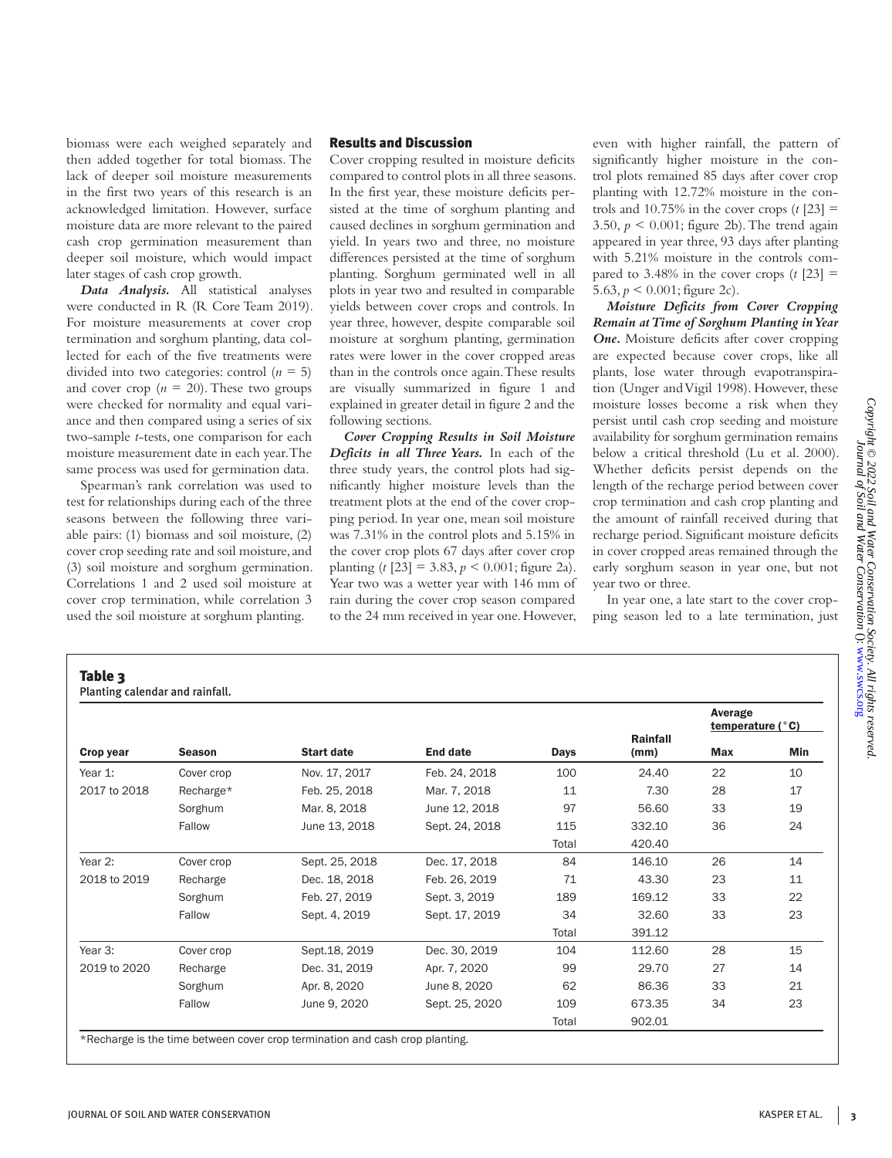biomass were each weighed separately and then added together for total biomass. The lack of deeper soil moisture measurements in the first two years of this research is an acknowledged limitation. However, surface moisture data are more relevant to the paired cash crop germination measurement than deeper soil moisture, which would impact later stages of cash crop growth.

*Data Analysis.* All statistical analyses were conducted in R (R Core Team 2019). For moisture measurements at cover crop termination and sorghum planting, data collected for each of the five treatments were divided into two categories: control  $(n = 5)$ and cover crop  $(n = 20)$ . These two groups were checked for normality and equal variance and then compared using a series of six two-sample *t*-tests, one comparison for each moisture measurement date in each year. The same process was used for germination data.

Spearman's rank correlation was used to test for relationships during each of the three seasons between the following three variable pairs: (1) biomass and soil moisture, (2) cover crop seeding rate and soil moisture, and (3) soil moisture and sorghum germination. Correlations 1 and 2 used soil moisture at cover crop termination, while correlation 3 used the soil moisture at sorghum planting.

Table 3

### Results and Discussion

Cover cropping resulted in moisture deficits compared to control plots in all three seasons. In the first year, these moisture deficits persisted at the time of sorghum planting and caused declines in sorghum germination and yield. In years two and three, no moisture differences persisted at the time of sorghum planting. Sorghum germinated well in all plots in year two and resulted in comparable yields between cover crops and controls. In year three, however, despite comparable soil moisture at sorghum planting, germination rates were lower in the cover cropped areas than in the controls once again. These results are visually summarized in figure 1 and explained in greater detail in figure 2 and the following sections.

*Cover Cropping Results in Soil Moisture Deficits in all Three Years.* In each of the three study years, the control plots had significantly higher moisture levels than the treatment plots at the end of the cover cropping period. In year one, mean soil moisture was 7.31% in the control plots and 5.15% in the cover crop plots 67 days after cover crop planting  $(t$  [23] = 3.83,  $p < 0.001$ ; figure 2a). Year two was a wetter year with 146 mm of rain during the cover crop season compared to the 24 mm received in year one. However,

even with higher rainfall, the pattern of significantly higher moisture in the control plots remained 85 days after cover crop planting with 12.72% moisture in the controls and  $10.75\%$  in the cover crops  $(t \, [23] =$ 3.50,  $p \le 0.001$ ; figure 2b). The trend again appeared in year three, 93 days after planting with 5.21% moisture in the controls compared to  $3.48\%$  in the cover crops (*t* [23] = 5.63,  $p < 0.001$ ; figure 2c).

*Moisture Deficits from Cover Cropping Remain at Time of Sorghum Planting in Year*  **One.** Moisture deficits after cover cropping are expected because cover crops, like all plants, lose water through evapotranspiration (Unger and Vigil 1998). However, these moisture losses become a risk when they persist until cash crop seeding and moisture availability for sorghum germination remains below a critical threshold (Lu et al. 2000). Whether deficits persist depends on the length of the recharge period between cover crop termination and cash crop planting and the amount of rainfall received during that recharge period. Significant moisture deficits in cover cropped areas remained through the early sorghum season in year one, but not year two or three.

In year one, a late start to the cover cropping season led to a late termination, just

| Crop year    | <b>Season</b> | <b>Start date</b> | End date       | Days  | Rainfall<br>(mm) | Average<br>temperature $(°C)$ |     |
|--------------|---------------|-------------------|----------------|-------|------------------|-------------------------------|-----|
|              |               |                   |                |       |                  | Max                           | Min |
| Year 1:      | Cover crop    | Nov. 17, 2017     | Feb. 24, 2018  | 100   | 24.40            | 22                            | 10  |
| 2017 to 2018 | Recharge*     | Feb. 25, 2018     | Mar. 7, 2018   | 11    | 7.30             | 28                            | 17  |
|              | Sorghum       | Mar. 8, 2018      | June 12, 2018  | 97    | 56.60            | 33                            | 19  |
|              | Fallow        | June 13, 2018     | Sept. 24, 2018 | 115   | 332.10           | 36                            | 24  |
|              |               |                   |                | Total | 420.40           |                               |     |
| Year 2:      | Cover crop    | Sept. 25, 2018    | Dec. 17, 2018  | 84    | 146.10           | 26                            | 14  |
| 2018 to 2019 | Recharge      | Dec. 18, 2018     | Feb. 26, 2019  | 71    | 43.30            | 23                            | 11  |
|              | Sorghum       | Feb. 27, 2019     | Sept. 3, 2019  | 189   | 169.12           | 33                            | 22  |
|              | Fallow        | Sept. 4, 2019     | Sept. 17, 2019 | 34    | 32.60            | 33                            | 23  |
|              |               |                   |                | Total | 391.12           |                               |     |
| Year 3:      | Cover crop    | Sept.18, 2019     | Dec. 30, 2019  | 104   | 112.60           | 28                            | 15  |
| 2019 to 2020 | Recharge      | Dec. 31, 2019     | Apr. 7, 2020   | 99    | 29.70            | 27                            | 14  |
|              | Sorghum       | Apr. 8, 2020      | June 8, 2020   | 62    | 86.36            | 33                            | 21  |
|              | Fallow        | June 9, 2020      | Sept. 25, 2020 | 109   | 673.35           | 34                            | 23  |
|              |               |                   |                | Total | 902.01           |                               |     |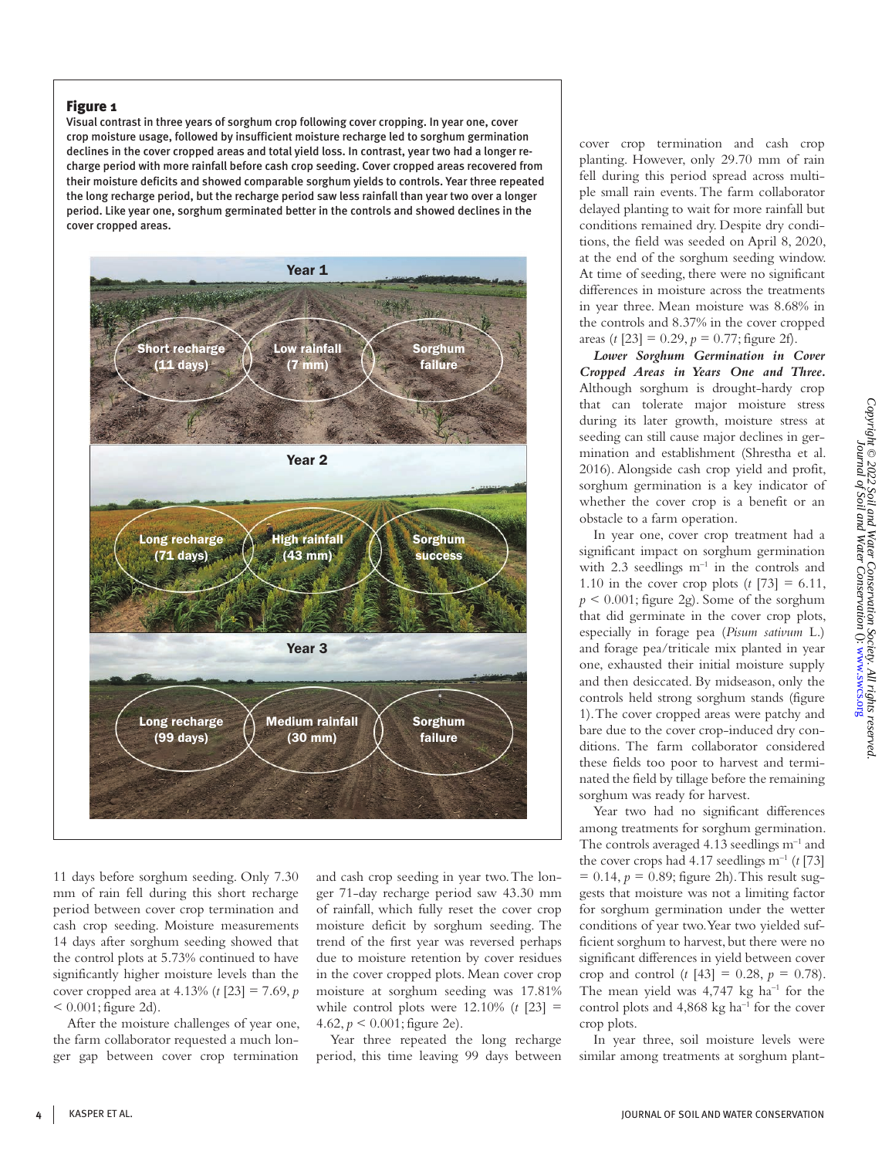## Figure 1

Visual contrast in three years of sorghum crop following cover cropping. In year one, cover crop moisture usage, followed by insufficient moisture recharge led to sorghum germination declines in the cover cropped areas and total yield loss. In contrast, year two had a longer recharge period with more rainfall before cash crop seeding. Cover cropped areas recovered from their moisture deficits and showed comparable sorghum yields to controls. Year three repeated the long recharge period, but the recharge period saw less rainfall than year two over a longer period. Like year one, sorghum germinated better in the controls and showed declines in the cover cropped areas.



11 days before sorghum seeding. Only 7.30 mm of rain fell during this short recharge period between cover crop termination and cash crop seeding. Moisture measurements 14 days after sorghum seeding showed that the control plots at 5.73% continued to have significantly higher moisture levels than the cover cropped area at 4.13% (*t* [23] = 7.69, *p*   $< 0.001$ ; figure 2d).

After the moisture challenges of year one, the farm collaborator requested a much longer gap between cover crop termination

and cash crop seeding in year two. The longer 71-day recharge period saw 43.30 mm of rainfall, which fully reset the cover crop moisture deficit by sorghum seeding. The trend of the first year was reversed perhaps due to moisture retention by cover residues in the cover cropped plots. Mean cover crop moisture at sorghum seeding was 17.81% while control plots were  $12.10\%$  (*t* [23] = 4.62,  $p < 0.001$ ; figure 2e).

Year three repeated the long recharge period, this time leaving 99 days between cover crop termination and cash crop planting. However, only 29.70 mm of rain fell during this period spread across multiple small rain events. The farm collaborator delayed planting to wait for more rainfall but conditions remained dry. Despite dry conditions, the field was seeded on April 8, 2020, at the end of the sorghum seeding window. At time of seeding, there were no significant differences in moisture across the treatments in year three. Mean moisture was 8.68% in the controls and 8.37% in the cover cropped areas (*t* [23] = 0.29,  $p = 0.77$ ; figure 2f).

*Lower Sorghum Germination in Cover Cropped Areas in Years One and Three.*  Although sorghum is drought-hardy crop that can tolerate major moisture stress during its later growth, moisture stress at seeding can still cause major declines in germination and establishment (Shrestha et al. 2016). Alongside cash crop yield and profit, sorghum germination is a key indicator of whether the cover crop is a benefit or an obstacle to a farm operation.

In year one, cover crop treatment had a significant impact on sorghum germination with  $2.3$  seedlings  $m^{-1}$  in the controls and 1.10 in the cover crop plots  $(t \, [73] = 6.11,$  $p < 0.001$ ; figure 2g). Some of the sorghum that did germinate in the cover crop plots, especially in forage pea (*Pisum sativum* L.) and forage pea/triticale mix planted in year one, exhausted their initial moisture supply and then desiccated. By midseason, only the controls held strong sorghum stands (figure 1). The cover cropped areas were patchy and bare due to the cover crop-induced dry conditions. The farm collaborator considered these fields too poor to harvest and terminated the field by tillage before the remaining sorghum was ready for harvest.

Year two had no significant differences among treatments for sorghum germination. The controls averaged 4.13 seedlings  $m^{-1}$  and the cover crops had  $4.17$  seedlings m<sup>-1</sup> (*t* [73]  $= 0.14$ ,  $p = 0.89$ ; figure 2h). This result suggests that moisture was not a limiting factor for sorghum germination under the wetter conditions of year two. Year two yielded sufficient sorghum to harvest, but there were no significant differences in yield between cover crop and control  $(t [43] = 0.28, p = 0.78)$ . The mean yield was  $4,747$  kg ha<sup>-1</sup> for the control plots and  $4,868 \text{ kg h}a^{-1}$  for the cover crop plots.

In year three, soil moisture levels were similar among treatments at sorghum plant-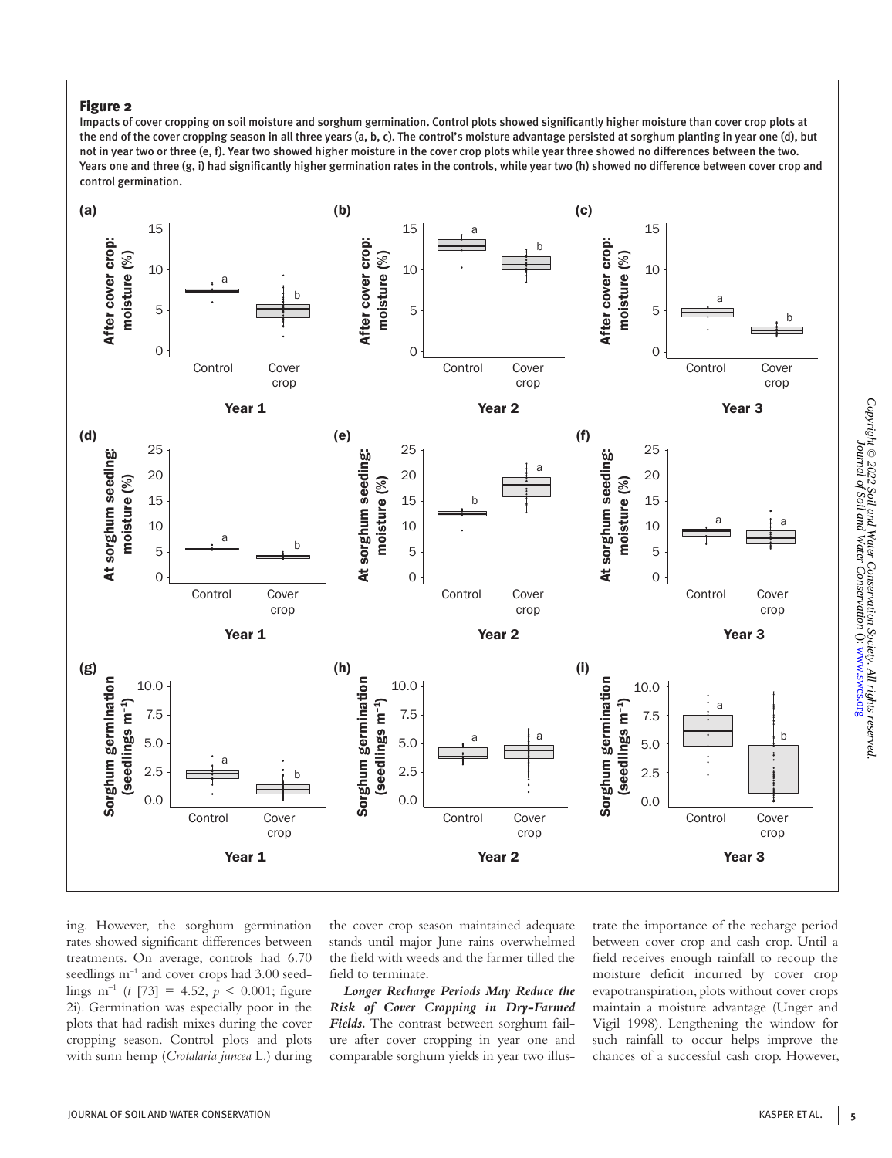# Figure 2

Impacts of cover cropping on soil moisture and sorghum germination. Control plots showed significantly higher moisture than cover crop plots at the end of the cover cropping season in all three years (a, b, c). The control's moisture advantage persisted at sorghum planting in year one (d), but not in year two or three (e, f). Year two showed higher moisture in the cover crop plots while year three showed no differences between the two. Years one and three (g, i) had significantly higher germination rates in the controls, while year two (h) showed no difference between cover crop and control germination.



ing. However, the sorghum germination rates showed significant differences between treatments. On average, controls had 6.70 seedlings m<sup>-1</sup> and cover crops had 3.00 seedlings m<sup>-1</sup> (*t* [73] = 4.52,  $p < 0.001$ ; figure 2i). Germination was especially poor in the plots that had radish mixes during the cover cropping season. Control plots and plots with sunn hemp (*Crotalaria juncea* L.) during the cover crop season maintained adequate stands until major June rains overwhelmed the field with weeds and the farmer tilled the field to terminate.

*Longer Recharge Periods May Reduce the Risk of Cover Cropping in Dry-Farmed Fields.* The contrast between sorghum failure after cover cropping in year one and comparable sorghum yields in year two illustrate the importance of the recharge period between cover crop and cash crop. Until a field receives enough rainfall to recoup the moisture deficit incurred by cover crop evapotranspiration, plots without cover crops maintain a moisture advantage (Unger and Vigil 1998). Lengthening the window for such rainfall to occur helps improve the chances of a successful cash crop. However,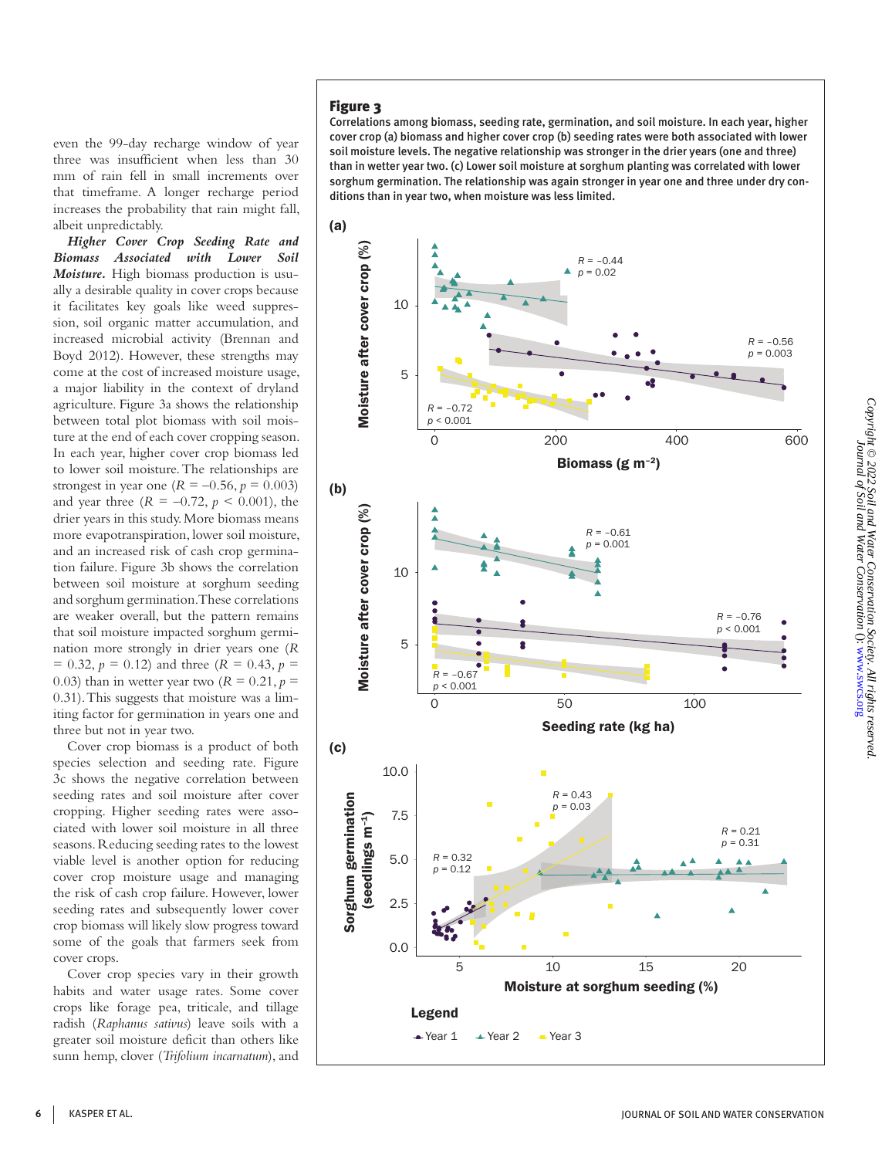even the 99-day recharge window of year three was insufficient when less than 30 mm of rain fell in small increments over that timeframe. A longer recharge period increases the probability that rain might fall, albeit unpredictably.

*Higher Cover Crop Seeding Rate and Biomass Associated with Lower Soil Moisture.* High biomass production is usually a desirable quality in cover crops because it facilitates key goals like weed suppression, soil organic matter accumulation, and increased microbial activity (Brennan and Boyd 2012). However, these strengths may come at the cost of increased moisture usage, a major liability in the context of dryland agriculture. Figure 3a shows the relationship between total plot biomass with soil moisture at the end of each cover cropping season. In each year, higher cover crop biomass led to lower soil moisture. The relationships are strongest in year one  $(R = -0.56, p = 0.003)$ and year three  $(R = -0.72, p < 0.001)$ , the drier years in this study. More biomass means more evapotranspiration, lower soil moisture, and an increased risk of cash crop germination failure. Figure 3b shows the correlation between soil moisture at sorghum seeding and sorghum germination. These correlations are weaker overall, but the pattern remains that soil moisture impacted sorghum germination more strongly in drier years one (*R*   $= 0.32, p = 0.12$  and three (*R* = 0.43, *p* = 0.03) than in wetter year two  $(R = 0.21, p = 0.03)$ 0.31). This suggests that moisture was a limiting factor for germination in years one and three but not in year two.

Cover crop biomass is a product of both species selection and seeding rate. Figure 3c shows the negative correlation between seeding rates and soil moisture after cover cropping. Higher seeding rates were associated with lower soil moisture in all three seasons. Reducing seeding rates to the lowest viable level is another option for reducing cover crop moisture usage and managing the risk of cash crop failure. However, lower seeding rates and subsequently lower cover crop biomass will likely slow progress toward some of the goals that farmers seek from cover crops.

Cover crop species vary in their growth habits and water usage rates. Some cover crops like forage pea, triticale, and tillage radish (*Raphanus sativus*) leave soils with a greater soil moisture deficit than others like sunn hemp, clover (*Trifolium incarnatum*), and

# Figure 3

Correlations among biomass, seeding rate, germination, and soil moisture. In each year, higher cover crop (a) biomass and higher cover crop (b) seeding rates were both associated with lower soil moisture levels. The negative relationship was stronger in the drier years (one and three) than in wetter year two. (c) Lower soil moisture at sorghum planting was correlated with lower sorghum germination. The relationship was again stronger in year one and three under dry conditions than in year two, when moisture was less limited.

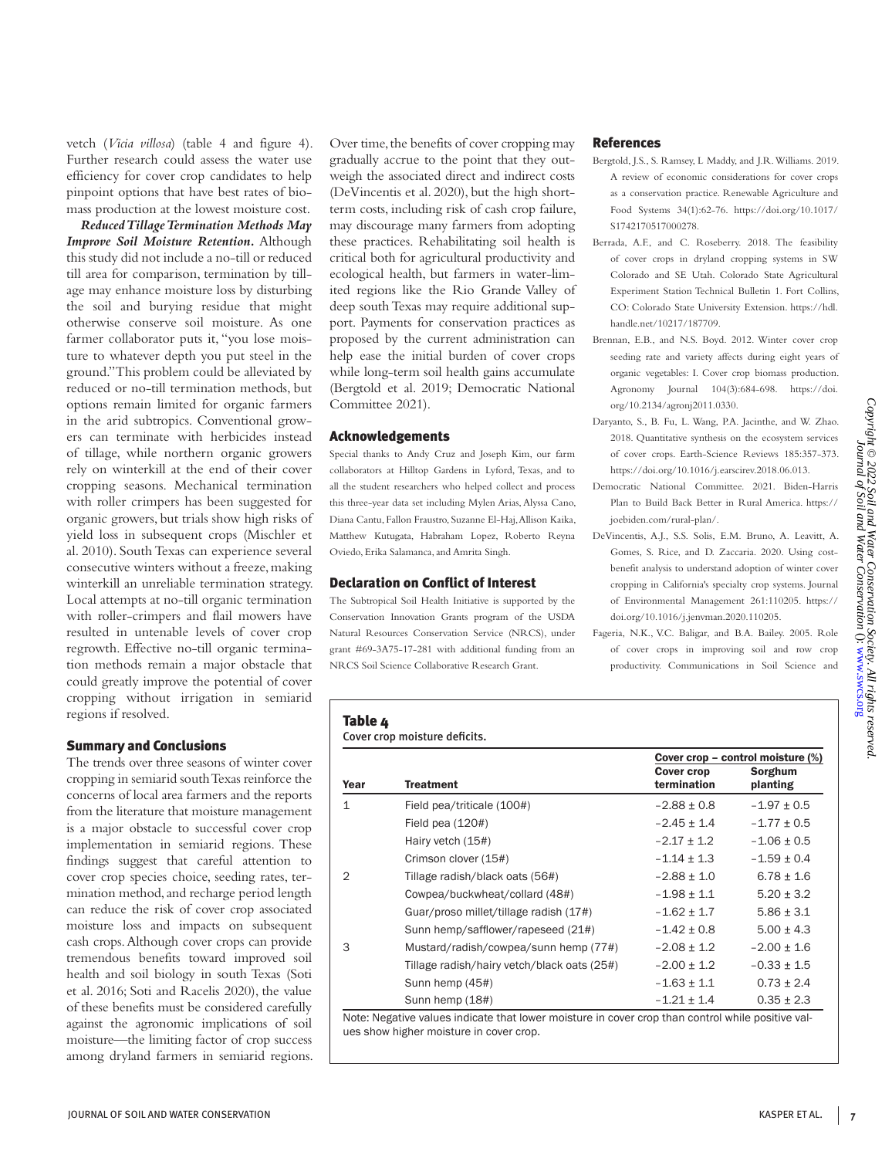vetch (*Vicia villosa*) (table 4 and figure 4). Further research could assess the water use efficiency for cover crop candidates to help pinpoint options that have best rates of biomass production at the lowest moisture cost.

*Reduced Tillage Termination Methods May Improve Soil Moisture Retention.* Although this study did not include a no-till or reduced till area for comparison, termination by tillage may enhance moisture loss by disturbing the soil and burying residue that might otherwise conserve soil moisture. As one farmer collaborator puts it, "you lose moisture to whatever depth you put steel in the ground." This problem could be alleviated by reduced or no-till termination methods, but options remain limited for organic farmers in the arid subtropics. Conventional growers can terminate with herbicides instead of tillage, while northern organic growers rely on winterkill at the end of their cover cropping seasons. Mechanical termination with roller crimpers has been suggested for organic growers, but trials show high risks of yield loss in subsequent crops (Mischler et al. 2010). South Texas can experience several consecutive winters without a freeze, making winterkill an unreliable termination strategy. Local attempts at no-till organic termination with roller-crimpers and flail mowers have resulted in untenable levels of cover crop regrowth. Effective no-till organic termination methods remain a major obstacle that could greatly improve the potential of cover cropping without irrigation in semiarid regions if resolved.

### Summary and Conclusions

The trends over three seasons of winter cover cropping in semiarid south Texas reinforce the concerns of local area farmers and the reports from the literature that moisture management is a major obstacle to successful cover crop implementation in semiarid regions. These findings suggest that careful attention to cover crop species choice, seeding rates, termination method, and recharge period length can reduce the risk of cover crop associated moisture loss and impacts on subsequent cash crops. Although cover crops can provide tremendous benefits toward improved soil health and soil biology in south Texas (Soti et al. 2016; Soti and Racelis 2020), the value of these benefits must be considered carefully against the agronomic implications of soil moisture—the limiting factor of crop success among dryland farmers in semiarid regions. Over time, the benefits of cover cropping may gradually accrue to the point that they outweigh the associated direct and indirect costs (DeVincentis et al. 2020), but the high shortterm costs, including risk of cash crop failure, may discourage many farmers from adopting these practices. Rehabilitating soil health is critical both for agricultural productivity and ecological health, but farmers in water-limited regions like the Rio Grande Valley of deep south Texas may require additional support. Payments for conservation practices as proposed by the current administration can help ease the initial burden of cover crops while long-term soil health gains accumulate (Bergtold et al. 2019; Democratic National Committee 2021).

## Acknowledgements

Special thanks to Andy Cruz and Joseph Kim, our farm collaborators at Hilltop Gardens in Lyford, Texas, and to all the student researchers who helped collect and process this three-year data set including Mylen Arias, Alyssa Cano, Diana Cantu, Fallon Fraustro, Suzanne El-Haj, Allison Kaika, Matthew Kutugata, Habraham Lopez, Roberto Reyna Oviedo, Erika Salamanca, and Amrita Singh.

## Declaration on Conflict of Interest

The Subtropical Soil Health Initiative is supported by the Conservation Innovation Grants program of the USDA Natural Resources Conservation Service (NRCS), under grant #69-3A75-17-281 with additional funding from an NRCS Soil Science Collaborative Research Grant.

## References

- Bergtold, J.S., S. Ramsey, L Maddy, and J.R. Williams. 2019. A review of economic considerations for cover crops as a conservation practice. Renewable Agriculture and Food Systems 34(1):62-76. https://doi.org/10.1017/ S1742170517000278.
- Berrada, A.F., and C. Roseberry. 2018. The feasibility of cover crops in dryland cropping systems in SW Colorado and SE Utah. Colorado State Agricultural Experiment Station Technical Bulletin 1. Fort Collins, CO: Colorado State University Extension. https://hdl. handle.net/10217/187709.
- Brennan, E.B., and N.S. Boyd. 2012. Winter cover crop seeding rate and variety affects during eight years of organic vegetables: I. Cover crop biomass production. Agronomy Journal 104(3):684-698. https://doi. org/10.2134/agronj2011.0330.
- Daryanto, S., B. Fu, L. Wang, P.A. Jacinthe, and W. Zhao. 2018. Quantitative synthesis on the ecosystem services of cover crops. Earth-Science Reviews 185:357-373. https://doi.org/10.1016/j.earscirev.2018.06.013.
- Democratic National Committee. 2021. Biden-Harris Plan to Build Back Better in Rural America. https:// joebiden.com/rural-plan/.
- DeVincentis, A.J., S.S. Solis, E.M. Bruno, A. Leavitt, A. Gomes, S. Rice, and D. Zaccaria. 2020. Using costbenefit analysis to understand adoption of winter cover cropping in California's specialty crop systems. Journal of Environmental Management 261:110205. https:// doi.org/10.1016/j.jenvman.2020.110205.
- Fageria, N.K., V.C. Baligar, and B.A. Bailey. 2005. Role of cover crops in improving soil and row crop productivity. Communications in Soil Science and

#### Table 4

Cover crop moisture deficits.

|                                             | Cover crop      | Cover crop – control moisture (%)<br>Sorghum |
|---------------------------------------------|-----------------|----------------------------------------------|
| <b>Treatment</b>                            | termination     | planting                                     |
| Field pea/triticale (100#)                  | $-2.88 \pm 0.8$ | $-1.97 \pm 0.5$                              |
| Field pea $(120#)$                          | $-2.45 \pm 1.4$ | $-1.77 \pm 0.5$                              |
| Hairy vetch (15#)                           | $-2.17 \pm 1.2$ | $-1.06 \pm 0.5$                              |
| Crimson clover (15#)                        | $-1.14 \pm 1.3$ | $-1.59 + 0.4$                                |
| Tillage radish/black oats (56#)             | $-2.88 \pm 1.0$ | $6.78 + 1.6$                                 |
| Cowpea/buckwheat/collard (48#)              | $-1.98 \pm 1.1$ | $5.20 \pm 3.2$                               |
| Guar/proso millet/tillage radish (17#)      | $-1.62 \pm 1.7$ | $5.86 + 3.1$                                 |
| Sunn hemp/safflower/rapeseed (21#)          | $-1.42 \pm 0.8$ | $5.00 + 4.3$                                 |
| Mustard/radish/cowpea/sunn hemp (77#)       | $-2.08 \pm 1.2$ | $-2.00 \pm 1.6$                              |
| Tillage radish/hairy vetch/black oats (25#) | $-2.00 \pm 1.2$ | $-0.33 \pm 1.5$                              |
| Sunn hemp (45#)                             | $-1.63 + 1.1$   | $0.73 + 2.4$                                 |
| Sunn hemp (18#)                             | $-1.21 \pm 1.4$ | $0.35 \pm 2.3$                               |
|                                             |                 |                                              |

Note: Negative values indicate that lower moisture in cover crop than control while positive values show higher moisture in cover crop.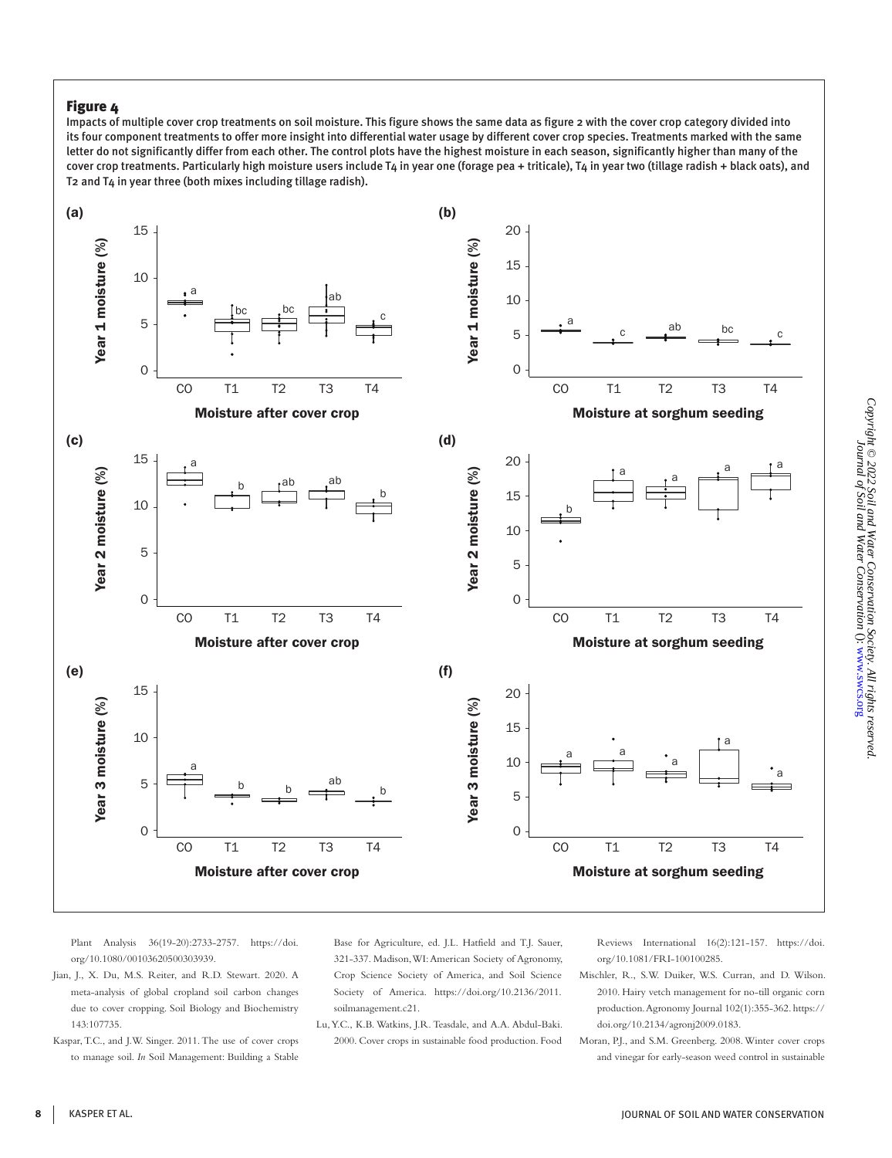# Figure 4

Impacts of multiple cover crop treatments on soil moisture. This figure shows the same data as figure 2 with the cover crop category divided into its four component treatments to offer more insight into differential water usage by different cover crop species. Treatments marked with the same letter do not significantly differ from each other. The control plots have the highest moisture in each season, significantly higher than many of the cover crop treatments. Particularly high moisture users include T4 in year one (forage pea + triticale), T4 in year two (tillage radish + black oats), and T2 and T4 in year three (both mixes including tillage radish).



Plant Analysis 36(19-20):2733-2757. https://doi. org/10.1080/00103620500303939.

- Jian, J., X. Du, M.S. Reiter, and R.D. Stewart. 2020. A meta-analysis of global cropland soil carbon changes due to cover cropping. Soil Biology and Biochemistry 143:107735.
- Kaspar, T.C., and J.W. Singer. 2011. The use of cover crops to manage soil. *In* Soil Management: Building a Stable

Base for Agriculture, ed. J.L. Hatfield and T.J. Sauer, 321-337. Madison, WI: American Society of Agronomy, Crop Science Society of America, and Soil Science Society of America. https://doi.org/10.2136/2011. soilmanagement.c21.

Lu, Y.C., K.B. Watkins, J.R. Teasdale, and A.A. Abdul-Baki. 2000. Cover crops in sustainable food production. Food Reviews International 16(2):121-157. https://doi. org/10.1081/FRI-100100285.

- Mischler, R., S.W. Duiker, W.S. Curran, and D. Wilson. 2010. Hairy vetch management for no-till organic corn production. Agronomy Journal 102(1):355-362. https:// doi.org/10.2134/agronj2009.0183.
- Moran, P.J., and S.M. Greenberg. 2008. Winter cover crops and vinegar for early-season weed control in sustainable